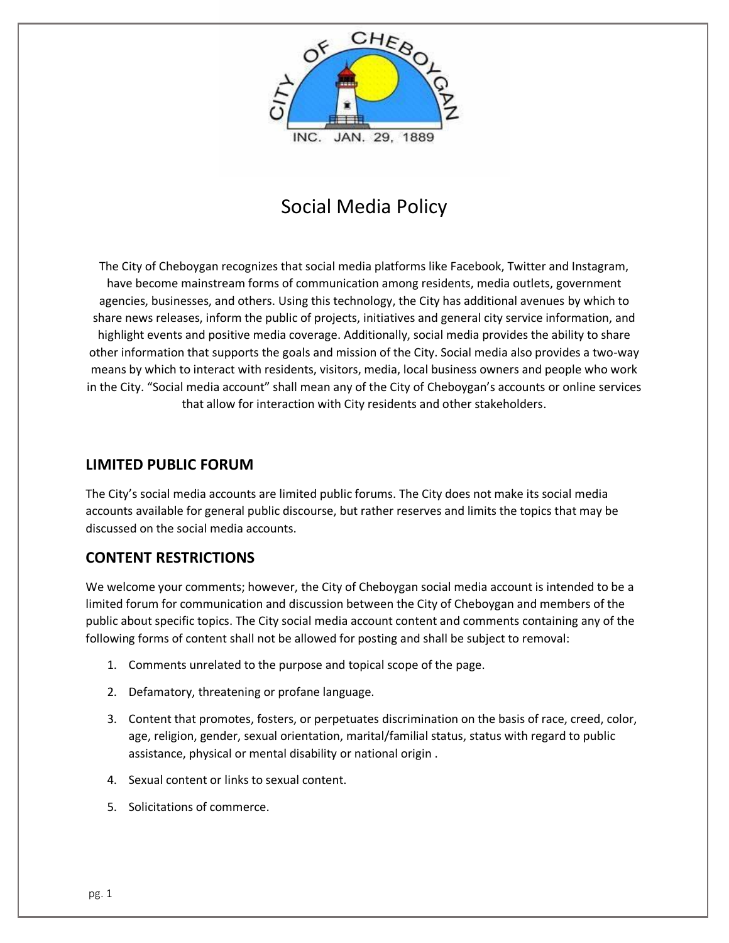

# Social Media Policy

The City of Cheboygan recognizes that social media platforms like Facebook, Twitter and Instagram, have become mainstream forms of communication among residents, media outlets, government agencies, businesses, and others. Using this technology, the City has additional avenues by which to share news releases, inform the public of projects, initiatives and general city service information, and highlight events and positive media coverage. Additionally, social media provides the ability to share other information that supports the goals and mission of the City. Social media also provides a two-way means by which to interact with residents, visitors, media, local business owners and people who work in the City. "Social media account" shall mean any of the City of Cheboygan's accounts or online services that allow for interaction with City residents and other stakeholders.

#### **LIMITED PUBLIC FORUM**

The City's social media accounts are limited public forums. The City does not make its social media accounts available for general public discourse, but rather reserves and limits the topics that may be discussed on the social media accounts.

### **CONTENT RESTRICTIONS**

We welcome your comments; however, the City of Cheboygan social media account is intended to be a limited forum for communication and discussion between the City of Cheboygan and members of the public about specific topics. The City social media account content and comments containing any of the following forms of content shall not be allowed for posting and shall be subject to removal:

- 1. Comments unrelated to the purpose and topical scope of the page.
- 2. Defamatory, threatening or profane language.
- 3. Content that promotes, fosters, or perpetuates discrimination on the basis of race, creed, color, age, religion, gender, sexual orientation, marital/familial status, status with regard to public assistance, physical or mental disability or national origin .
- 4. Sexual content or links to sexual content.
- 5. Solicitations of commerce.